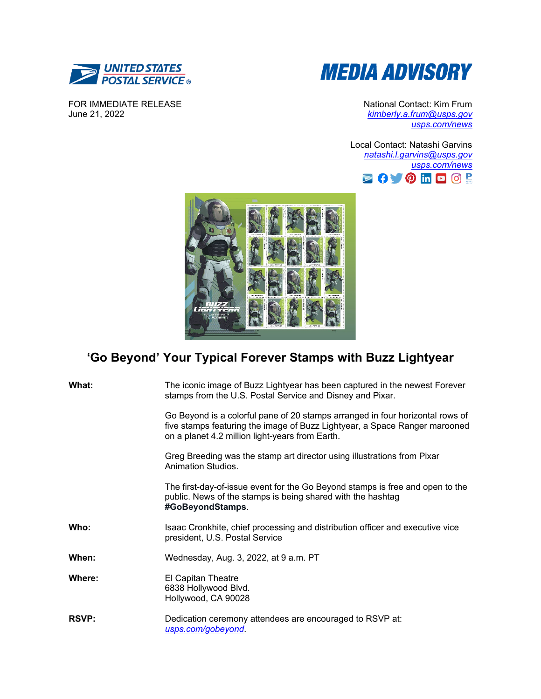

FOR IMMEDIATE RELEASE June 21, 2022



National Contact: Kim Frum *[kimberly.a.frum@usps.gov](mailto:kimberly.a.frum@usps.gov) [usps.com/news](file://wadchqsxf16/shr_HQ_HQ_Customer_Relations/corp%20comm/Corporate%20Communications/Public%20Relations/Administrative/Templates/usps.com/news)*

Local Contact: Natashi Garvins *[natashi.l.garvins@usps.gov](mailto:natashi.l.garvins@usps.gov) [usps.com/news](file://wadchqsxf16/shr_HQ_HQ_Customer_Relations/corp%20comm/Corporate%20Communications/Public%20Relations/Administrative/Templates/usps.com/news)* **BOVOHOO!** 



## **'Go Beyond' Your Typical Forever Stamps with Buzz Lightyear**

| What:        | The iconic image of Buzz Lightyear has been captured in the newest Forever<br>stamps from the U.S. Postal Service and Disney and Pixar.                                                                        |
|--------------|----------------------------------------------------------------------------------------------------------------------------------------------------------------------------------------------------------------|
|              | Go Beyond is a colorful pane of 20 stamps arranged in four horizontal rows of<br>five stamps featuring the image of Buzz Lightyear, a Space Ranger marooned<br>on a planet 4.2 million light-years from Earth. |
|              | Greg Breeding was the stamp art director using illustrations from Pixar<br>Animation Studios.                                                                                                                  |
|              | The first-day-of-issue event for the Go Beyond stamps is free and open to the<br>public. News of the stamps is being shared with the hashtag<br>#GoBeyondStamps.                                               |
| Who:         | Isaac Cronkhite, chief processing and distribution officer and executive vice<br>president, U.S. Postal Service                                                                                                |
| When:        | Wednesday, Aug. 3, 2022, at 9 a.m. PT                                                                                                                                                                          |
| Where:       | El Capitan Theatre<br>6838 Hollywood Blvd.<br>Hollywood, CA 90028                                                                                                                                              |
| <b>RSVP:</b> | Dedication ceremony attendees are encouraged to RSVP at:<br>usps.com/gobeyond.                                                                                                                                 |